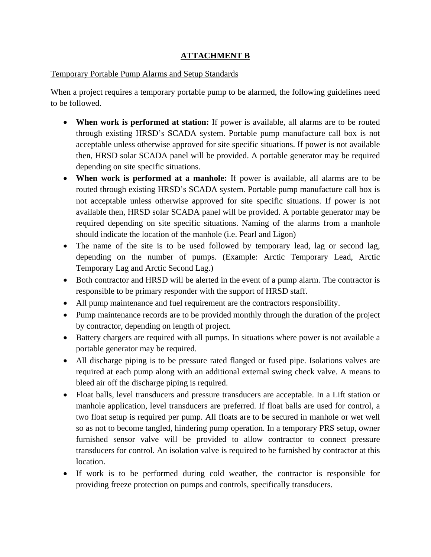### **ATTACHMENT B**

### Temporary Portable Pump Alarms and Setup Standards

When a project requires a temporary portable pump to be alarmed, the following guidelines need to be followed.

- **When work is performed at station:** If power is available, all alarms are to be routed through existing HRSD's SCADA system. Portable pump manufacture call box is not acceptable unless otherwise approved for site specific situations. If power is not available then, HRSD solar SCADA panel will be provided. A portable generator may be required depending on site specific situations.
- **When work is performed at a manhole:** If power is available, all alarms are to be routed through existing HRSD's SCADA system. Portable pump manufacture call box is not acceptable unless otherwise approved for site specific situations. If power is not available then, HRSD solar SCADA panel will be provided. A portable generator may be required depending on site specific situations. Naming of the alarms from a manhole should indicate the location of the manhole (i.e. Pearl and Ligon)
- The name of the site is to be used followed by temporary lead, lag or second lag, depending on the number of pumps. (Example: Arctic Temporary Lead, Arctic Temporary Lag and Arctic Second Lag.)
- Both contractor and HRSD will be alerted in the event of a pump alarm. The contractor is responsible to be primary responder with the support of HRSD staff.
- All pump maintenance and fuel requirement are the contractors responsibility.
- Pump maintenance records are to be provided monthly through the duration of the project by contractor, depending on length of project.
- Battery chargers are required with all pumps. In situations where power is not available a portable generator may be required.
- All discharge piping is to be pressure rated flanged or fused pipe. Isolations valves are required at each pump along with an additional external swing check valve. A means to bleed air off the discharge piping is required.
- Float balls, level transducers and pressure transducers are acceptable. In a Lift station or manhole application, level transducers are preferred. If float balls are used for control, a two float setup is required per pump. All floats are to be secured in manhole or wet well so as not to become tangled, hindering pump operation. In a temporary PRS setup, owner furnished sensor valve will be provided to allow contractor to connect pressure transducers for control. An isolation valve is required to be furnished by contractor at this location.
- If work is to be performed during cold weather, the contractor is responsible for providing freeze protection on pumps and controls, specifically transducers.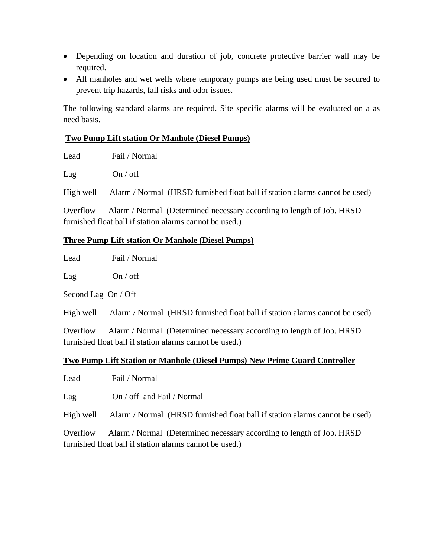- Depending on location and duration of job, concrete protective barrier wall may be required.
- All manholes and wet wells where temporary pumps are being used must be secured to prevent trip hazards, fall risks and odor issues.

The following standard alarms are required. Site specific alarms will be evaluated on a as need basis.

### **Two Pump Lift station Or Manhole (Diesel Pumps)**

Lead Fail / Normal

Lag On / off

High well Alarm / Normal (HRSD furnished float ball if station alarms cannot be used)

Overflow Alarm / Normal (Determined necessary according to length of Job. HRSD furnished float ball if station alarms cannot be used.)

### **Three Pump Lift station Or Manhole (Diesel Pumps)**

Lead Fail / Normal

Lag On / off

Second Lag On / Off

High well Alarm / Normal (HRSD furnished float ball if station alarms cannot be used)

Overflow Alarm / Normal (Determined necessary according to length of Job. HRSD furnished float ball if station alarms cannot be used.)

### **Two Pump Lift Station or Manhole (Diesel Pumps) New Prime Guard Controller**

Lead Fail / Normal

Lag On / off and Fail / Normal

High well Alarm / Normal (HRSD furnished float ball if station alarms cannot be used)

Overflow Alarm / Normal (Determined necessary according to length of Job. HRSD furnished float ball if station alarms cannot be used.)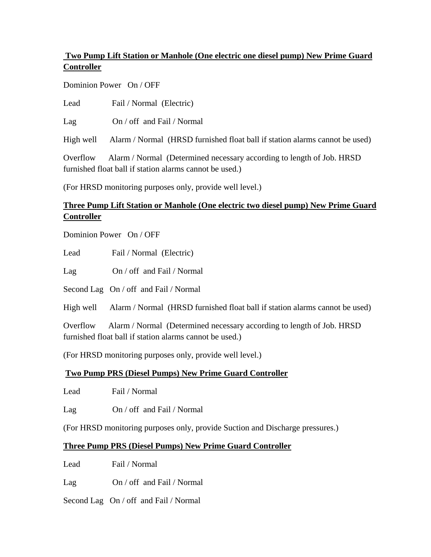# **Two Pump Lift Station or Manhole (One electric one diesel pump) New Prime Guard Controller**

Dominion Power On / OFF

Lead Fail / Normal (Electric)

Lag On / off and Fail / Normal

High well Alarm / Normal (HRSD furnished float ball if station alarms cannot be used)

Overflow Alarm / Normal (Determined necessary according to length of Job. HRSD furnished float ball if station alarms cannot be used.)

(For HRSD monitoring purposes only, provide well level.)

# **Three Pump Lift Station or Manhole (One electric two diesel pump) New Prime Guard Controller**

Dominion Power On / OFF

Lead Fail / Normal (Electric)

Lag On / off and Fail / Normal

Second Lag On / off and Fail / Normal

High well Alarm / Normal (HRSD furnished float ball if station alarms cannot be used)

Overflow Alarm / Normal (Determined necessary according to length of Job. HRSD furnished float ball if station alarms cannot be used.)

(For HRSD monitoring purposes only, provide well level.)

## **Two Pump PRS (Diesel Pumps) New Prime Guard Controller**

Lead Fail / Normal

Lag On / off and Fail / Normal

(For HRSD monitoring purposes only, provide Suction and Discharge pressures.)

## **Three Pump PRS (Diesel Pumps) New Prime Guard Controller**

Lead Fail / Normal

Lag On / off and Fail / Normal

Second Lag On / off and Fail / Normal